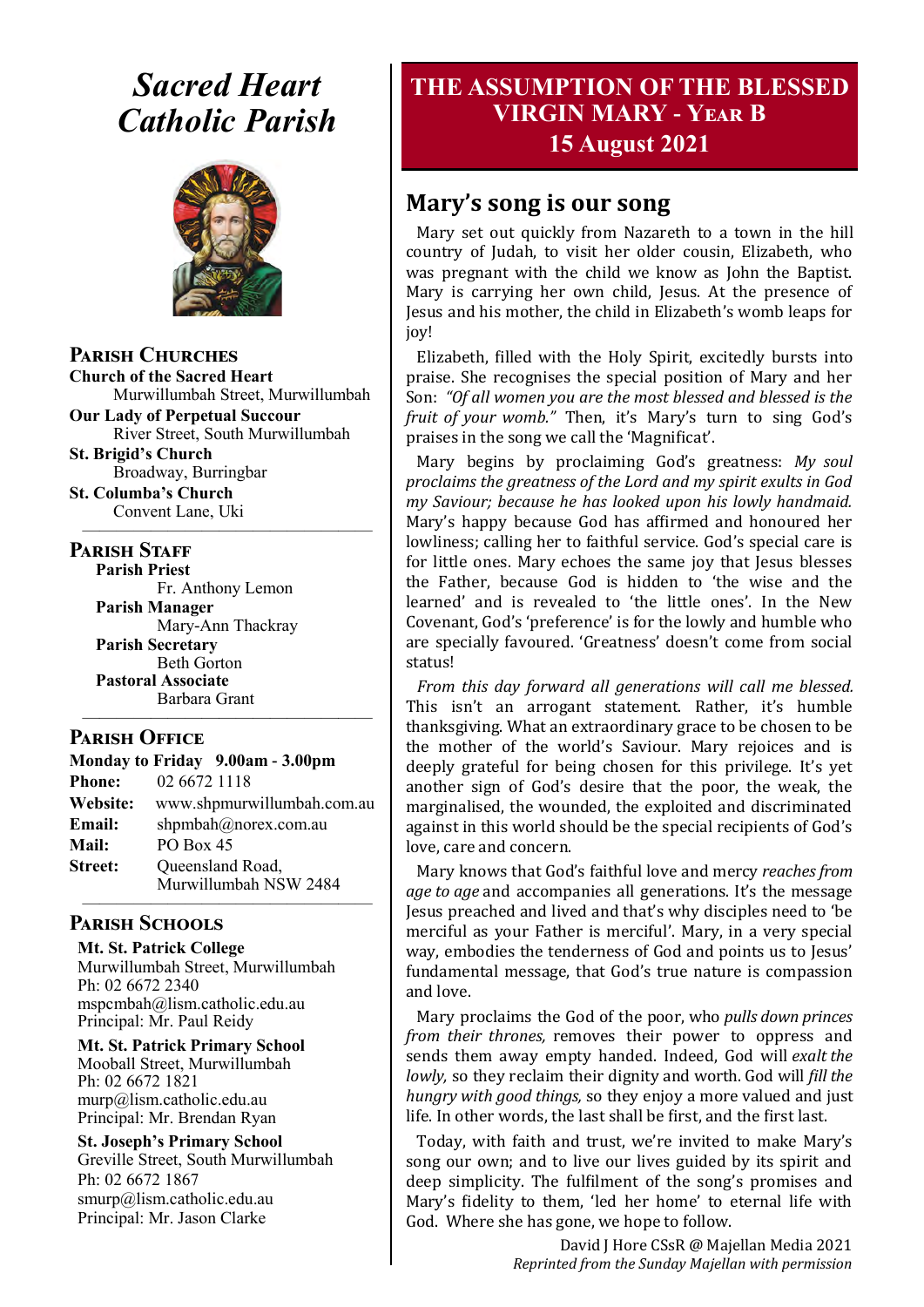## *Sacred Heart Catholic Parish*



**Parish Churches**

**Church of the Sacred Heart** Murwillumbah Street, Murwillumbah

**Our Lady of Perpetual Succour** River Street, South Murwillumbah

**St. Brigid's Church** Broadway, Burringbar

**St. Columba's Church** Convent Lane, Uki —————————————————

#### **PARISH STAFF**

**Parish Priest**

Fr. Anthony Lemon **Parish Manager** Mary-Ann Thackray **Parish Secretary** Beth Gorton **Pastoral Associate** Barbara Grant

#### **Parish Office**

**Monday to Friday 9.00am - 3.00pm Phone:** 02 6672 1118 **Website:** www.shpmurwillumbah.com.au **Email:** shpmbah@norex.com.au **Mail:** PO Box 45 **Street:** Oueensland Road, Murwillumbah NSW 2484 —————————————————

—————————————————

#### **Parish Schools**

**Mt. St. Patrick College** Murwillumbah Street, Murwillumbah Ph: 02 6672 2340 mspcmbah@lism.catholic.edu.au Principal: Mr. Paul Reidy

**Mt. St. Patrick Primary School** Mooball Street, Murwillumbah Ph: 02 6672 1821 murp@lism.catholic.edu.au Principal: Mr. Brendan Ryan

**St. Joseph's Primary School** Greville Street, South Murwillumbah Ph: 02 6672 1867 smurp@lism.catholic.edu.au Principal: Mr. Jason Clarke

## **THE ASSUMPTION OF THE BLESSED VIRGIN MARY - Year B 15 August 2021**

## **Mary's song is our song**

Mary set out quickly from Nazareth to a town in the hill country of Judah, to visit her older cousin, Elizabeth, who was pregnant with the child we know as John the Baptist. Mary is carrying her own child, Jesus. At the presence of Jesus and his mother, the child in Elizabeth's womb leaps for joy!

Elizabeth, filled with the Holy Spirit, excitedly bursts into praise. She recognises the special position of Mary and her Son: *"Of all women you are the most blessed and blessed is the fruit of your womb."* Then, it's Mary's turn to sing God's praises in the song we call the 'Magnificat'.

Mary begins by proclaiming God's greatness: *My soul proclaims the greatness of the Lord and my spirit exults in God my Saviour; because he has looked upon his lowly handmaid.* Mary's happy because God has affirmed and honoured her lowliness; calling her to faithful service. God's special care is for little ones. Mary echoes the same joy that Jesus blesses the Father, because God is hidden to 'the wise and the learned' and is revealed to 'the little ones'. In the New Covenant, God's 'preference' is for the lowly and humble who are specially favoured. 'Greatness' doesn't come from social status!

*From this day forward all generations will call me blessed.* This isn't an arrogant statement. Rather, it's humble thanksgiving. What an extraordinary grace to be chosen to be the mother of the world's Saviour. Mary rejoices and is deeply grateful for being chosen for this privilege. It's yet another sign of God's desire that the poor, the weak, the marginalised, the wounded, the exploited and discriminated against in this world should be the special recipients of God's love, care and concern.

Mary knows that God's faithful love and mercy *reaches from age to age* and accompanies all generations. It's the message Jesus preached and lived and that's why disciples need to 'be merciful as your Father is merciful'. Mary, in a very special way, embodies the tenderness of God and points us to Jesus' fundamental message, that God's true nature is compassion and love.

Mary proclaims the God of the poor, who *pulls down princes from their thrones,* removes their power to oppress and sends them away empty handed. Indeed, God will *exalt the lowly,* so they reclaim their dignity and worth. God will *fill the hungry with good things,* so they enjoy a more valued and just life. In other words, the last shall be first, and the first last.

Today, with faith and trust, we're invited to make Mary's song our own; and to live our lives guided by its spirit and deep simplicity. The fulfilment of the song's promises and Mary's fidelity to them, 'led her home' to eternal life with God. Where she has gone, we hope to follow.

> David J Hore CSsR @ Majellan Media 2021 *Reprinted from the Sunday Majellan with permission*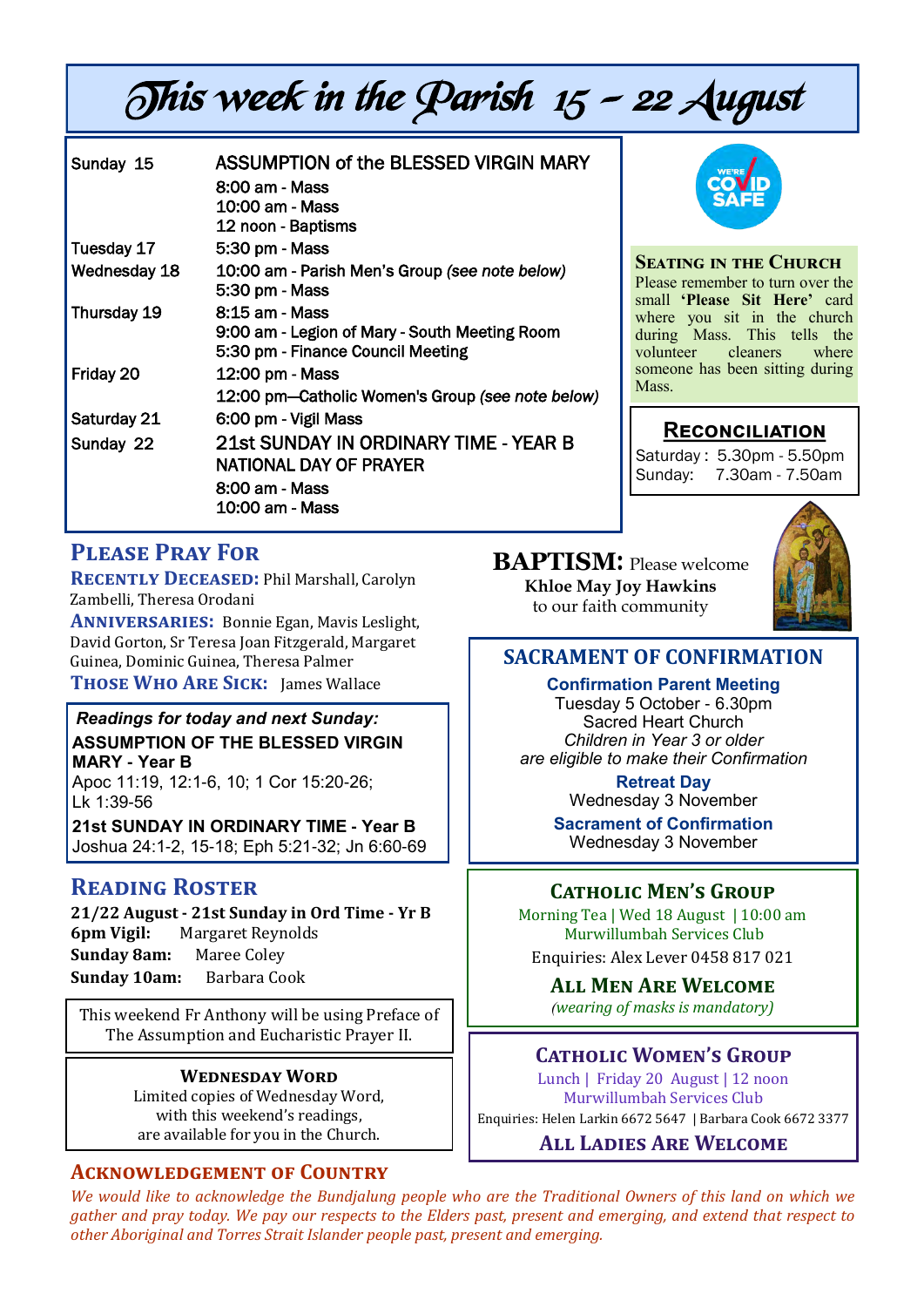# This week in the Parish  $15 - 22$  August

| Sunday 15    | ASSUMPTION of the BLESSED VIRGIN MARY<br>8:00 am - Mass<br>10:00 am - Mass<br>12 noon - Baptisms     |
|--------------|------------------------------------------------------------------------------------------------------|
| Tuesday 17   | 5:30 pm - Mass                                                                                       |
| Wednesday 18 | 10:00 am - Parish Men's Group (see note below)<br>5:30 pm - Mass                                     |
| Thursday 19  | 8:15 am - Mass<br>9:00 am - Legion of Mary - South Meeting Room<br>5:30 pm - Finance Council Meeting |
| Friday 20    | 12:00 pm - Mass<br>12:00 pm—Catholic Women's Group (see note below)                                  |
| Saturday 21  | 6:00 pm - Vigil Mass                                                                                 |
| Sunday 22    | 21st SUNDAY IN ORDINARY TIME - YEAR B<br>NATIONAL DAY OF PRAYER<br>8:00 am - Mass<br>10:00 am - Mass |



#### **Seating in the Church**

Please remember to turn over the small **'Please Sit Here'** card where you sit in the church during Mass. This tells the volunteer cleaners where someone has been sitting during Mass.

#### **Reconciliation**

Saturday : 5.30pm - 5.50pm Sunday: 7.30am - 7.50am

### **Please Pray For**

**Recently Deceased:** Phil Marshall, Carolyn Zambelli, Theresa Orodani

**Anniversaries:** Bonnie Egan, Mavis Leslight, David Gorton, Sr Teresa Joan Fitzgerald, Margaret Guinea, Dominic Guinea, Theresa Palmer **Those Who Are Sick:** James Wallace

#### *Readings for today and next Sunday:*  **ASSUMPTION OF THE BLESSED VIRGIN MARY - Year B**

Apoc 11:19, 12:1-6, 10; 1 Cor 15:20-26; Lk 1:39-56

**21st SUNDAY IN ORDINARY TIME - Year B**  Joshua 24:1-2, 15-18; Eph 5:21-32; Jn 6:60-69

#### **Reading Roster**

**21/22 August - 21st Sunday in Ord Time - Yr B 6pm Vigil:** Margaret Reynolds **Sunday 8am:** Maree Coley **Sunday 10am:** Barbara Cook

This weekend Fr Anthony will be using Preface of The Assumption and Eucharistic Prayer II.

#### **Wednesday Word**

Limited copies of Wednesday Word, with this weekend's readings, are available for you in the Church.

#### **Acknowledgement of Country**

**BAPTISM**: Please welcome **Khloe May Joy Hawkins** to our faith community



#### **SACRAMENT OF CONFIRMATION**

**Confirmation Parent Meeting** Tuesday 5 October - 6.30pm Sacred Heart Church *Children in Year 3 or older are eligible to make their Confirmation*

> **Retreat Day** Wednesday 3 November

**Sacrament of Confirmation** Wednesday 3 November

#### **Catholic Men's Group**

Morning Tea | Wed 18 August | 10:00 am Murwillumbah Services Club Enquiries: Alex Lever 0458 817 021

**All Men Are Welcome** *(wearing of masks is mandatory)*

#### **Catholic Women's Group**

Lunch | Friday 20 August | 12 noon Murwillumbah Services Club Enquiries: Helen Larkin 6672 5647 | Barbara Cook 6672 3377

**All Ladies Are Welcome**

*We would like to acknowledge the Bundjalung people who are the Traditional Owners of this land on which we gather and pray today. We pay our respects to the Elders past, present and emerging, and extend that respect to other Aboriginal and Torres Strait Islander people past, present and emerging.*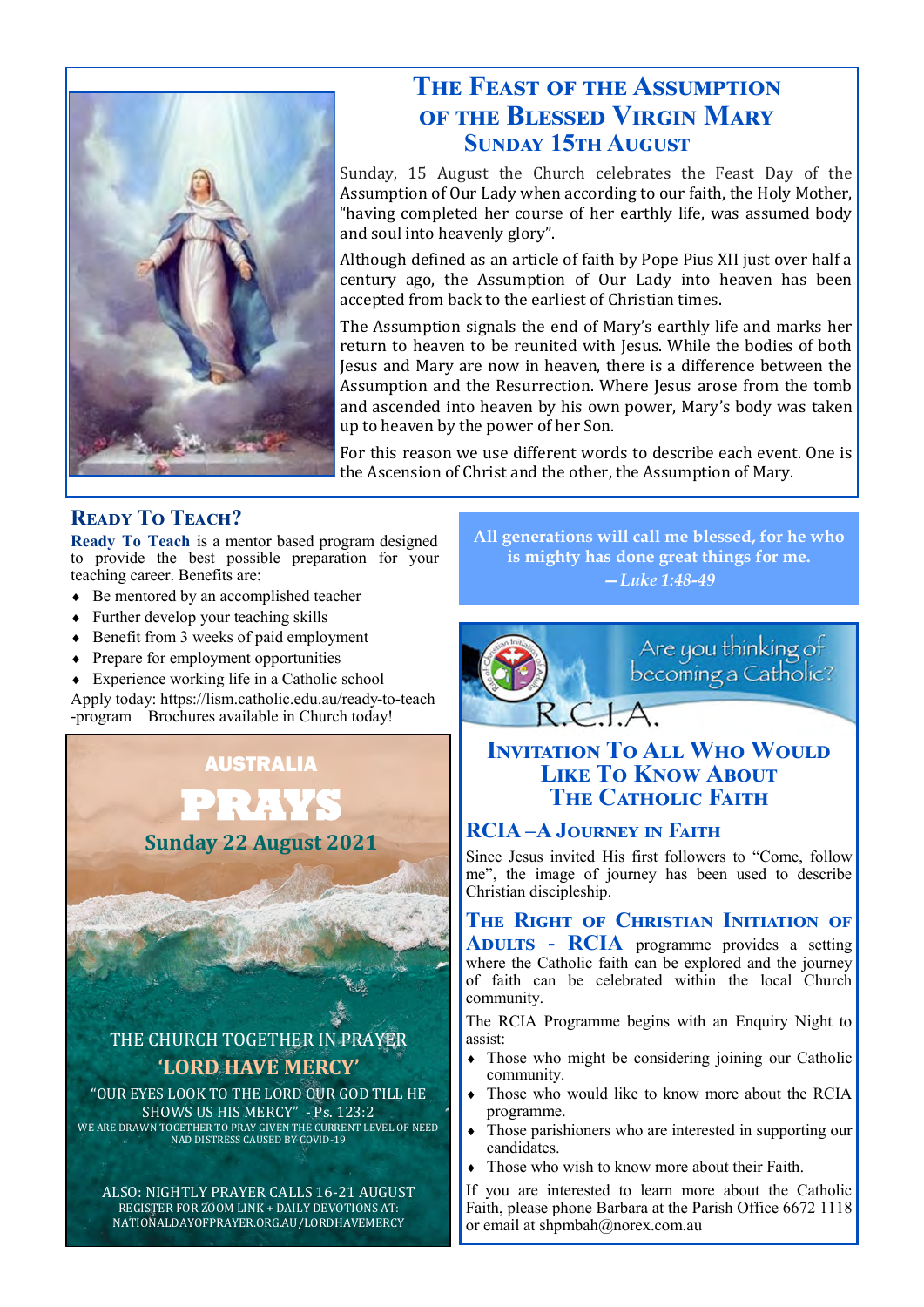

## **The Feast of the Assumption of the Blessed Virgin Mary Sunday 15th August**

Sunday, 15 August the Church celebrates the Feast Day of the Assumption of Our Lady when according to our faith, the Holy Mother, "having completed her course of her earthly life, was assumed body and soul into heavenly glory".

Although defined as an article of faith by Pope Pius XII just over half a century ago, the Assumption of Our Lady into heaven has been accepted from back to the earliest of Christian times.

The Assumption signals the end of Mary's earthly life and marks her return to heaven to be reunited with Jesus. While the bodies of both Jesus and Mary are now in heaven, there is a difference between the Assumption and the Resurrection. Where Jesus arose from the tomb and ascended into heaven by his own power, Mary's body was taken up to heaven by the power of her Son.

For this reason we use different words to describe each event. One is the Ascension of Christ and the other, the Assumption of Mary.

#### **Ready To Teach?**

**Ready To Teach** is a mentor based program designed to provide the best possible preparation for your teaching career. Benefits are:

- ◆ Be mentored by an accomplished teacher
- Further develop your teaching skills
- Benefit from 3 weeks of paid employment
- Prepare for employment opportunities

 Experience working life in a Catholic school Apply today: https://lism.catholic.edu.au/ready-to-teach -program Brochures available in Church today!

> AUSTRALIA **PRAYS**

**Sunday 22 August 2021**

THE CHURCH TOGETHER IN PRAYER **'LORD HAVE MERCY'**

"OUR EYES LOOK TO THE LORD OUR GOD TILL HE SHOWS US HIS MERCY" - Ps. 123:2 WE ARE DRAWN TOGETHER TO PRAY GIVEN THE CURRENT LEVEL OF NEED NAD DISTRESS CAUSED BY COVID-19

ALSO: NIGHTLY PRAYER CALLS 16-21 AUGUST REGISTER FOR ZOOM LINK + DAILY DEVOTIONS AT: NATIONALDAYOFPRAYER.ORG.AU/LORDHAVEMERCY

**All generations will call me blessed, for he who is mighty has done great things for me.** *—Luke 1:48-49*



#### **INVITATION TO ALL WHO WOULD LIKE TO KNOW ABOUT The Catholic Faith**

#### **RCIA –A Journey in Faith**

Since Jesus invited His first followers to "Come, follow me", the image of journey has been used to describe Christian discipleship.

**The Right of Christian Initiation of Adults - RCIA** programme provides a setting where the Catholic faith can be explored and the journey of faith can be celebrated within the local Church community.

The RCIA Programme begins with an Enquiry Night to assist:

- Those who might be considering joining our Catholic community.
- Those who would like to know more about the RCIA programme.
- Those parishioners who are interested in supporting our candidates.
- Those who wish to know more about their Faith.

If you are interested to learn more about the Catholic Faith, please phone Barbara at the Parish Office 6672 1118 or email at shpmbah@norex.com.au